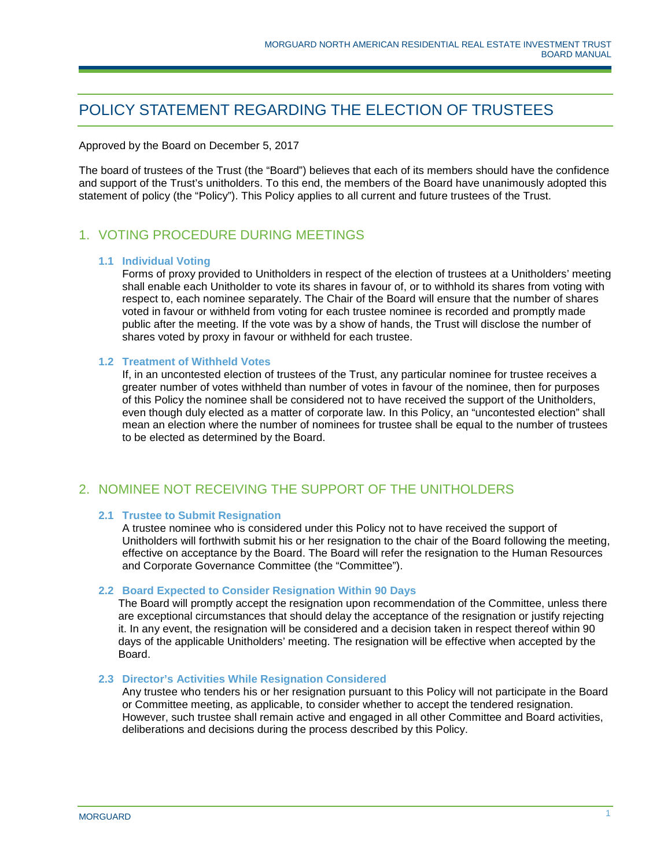# POLICY STATEMENT REGARDING THE ELECTION OF TRUSTEES

Approved by the Board on December 5, 2017

The board of trustees of the Trust (the "Board") believes that each of its members should have the confidence and support of the Trust's unitholders. To this end, the members of the Board have unanimously adopted this statement of policy (the "Policy"). This Policy applies to all current and future trustees of the Trust.

## 1. VOTING PROCEDURE DURING MEETINGS

#### **1.1 Individual Voting**

Forms of proxy provided to Unitholders in respect of the election of trustees at a Unitholders' meeting shall enable each Unitholder to vote its shares in favour of, or to withhold its shares from voting with respect to, each nominee separately. The Chair of the Board will ensure that the number of shares voted in favour or withheld from voting for each trustee nominee is recorded and promptly made public after the meeting. If the vote was by a show of hands, the Trust will disclose the number of shares voted by proxy in favour or withheld for each trustee.

#### **1.2 Treatment of Withheld Votes**

If, in an uncontested election of trustees of the Trust, any particular nominee for trustee receives a greater number of votes withheld than number of votes in favour of the nominee, then for purposes of this Policy the nominee shall be considered not to have received the support of the Unitholders, even though duly elected as a matter of corporate law. In this Policy, an "uncontested election" shall mean an election where the number of nominees for trustee shall be equal to the number of trustees to be elected as determined by the Board.

### 2. NOMINEE NOT RECEIVING THE SUPPORT OF THE UNITHOLDERS

#### **2.1 Trustee to Submit Resignation**

A trustee nominee who is considered under this Policy not to have received the support of Unitholders will forthwith submit his or her resignation to the chair of the Board following the meeting, effective on acceptance by the Board. The Board will refer the resignation to the Human Resources and Corporate Governance Committee (the "Committee").

#### **2.2 Board Expected to Consider Resignation Within 90 Days**

The Board will promptly accept the resignation upon recommendation of the Committee, unless there are exceptional circumstances that should delay the acceptance of the resignation or justify rejecting it. In any event, the resignation will be considered and a decision taken in respect thereof within 90 days of the applicable Unitholders' meeting. The resignation will be effective when accepted by the Board.

#### **2.3 Director's Activities While Resignation Considered**

Any trustee who tenders his or her resignation pursuant to this Policy will not participate in the Board or Committee meeting, as applicable, to consider whether to accept the tendered resignation. However, such trustee shall remain active and engaged in all other Committee and Board activities, deliberations and decisions during the process described by this Policy.